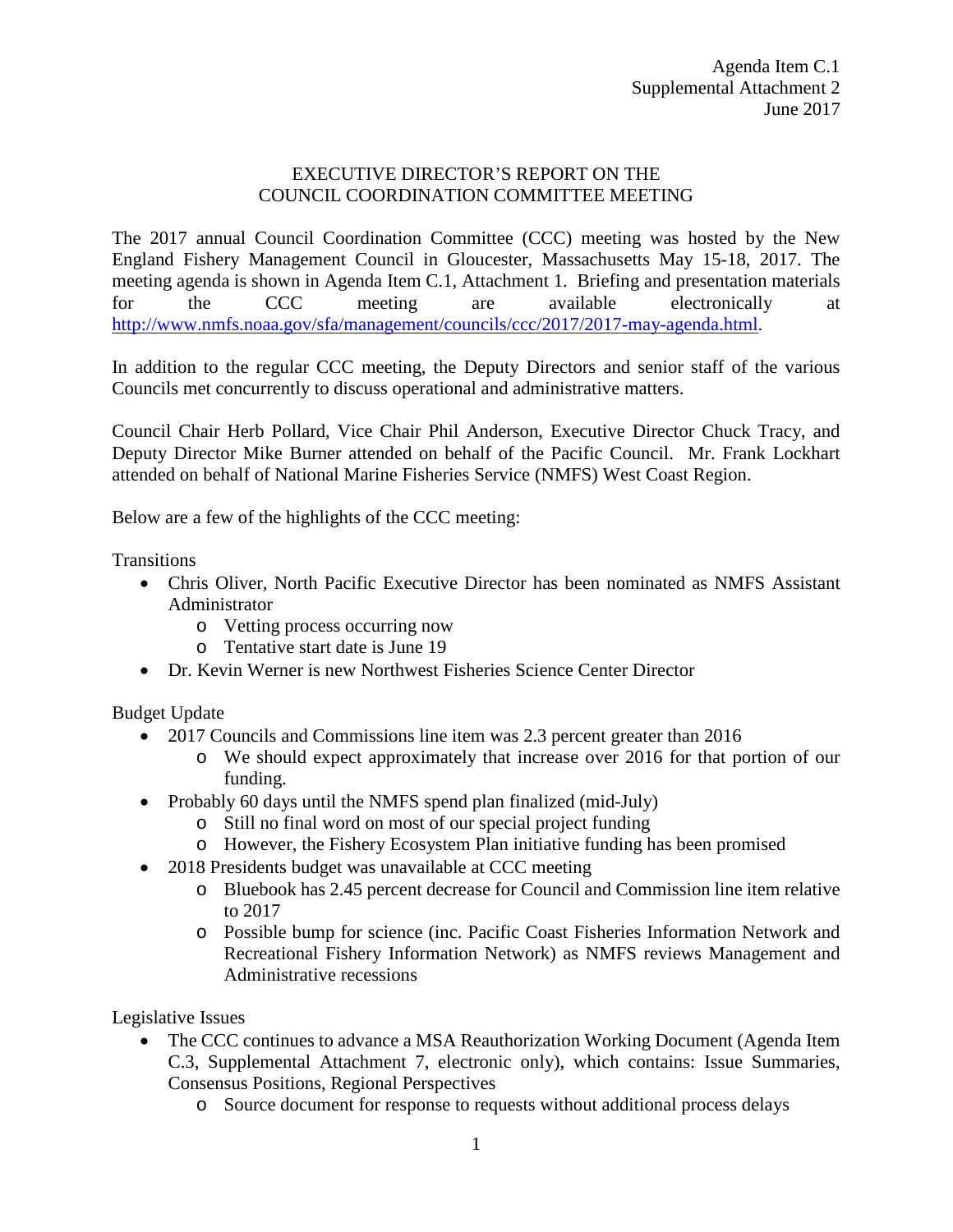## EXECUTIVE DIRECTOR'S REPORT ON THE COUNCIL COORDINATION COMMITTEE MEETING

The 2017 annual Council Coordination Committee (CCC) meeting was hosted by the New England Fishery Management Council in Gloucester, Massachusetts May 15-18, 2017. The meeting agenda is shown in Agenda Item C.1, Attachment 1. Briefing and presentation materials for the CCC meeting are available electronically at [http://www.nmfs.noaa.gov/sfa/management/councils/ccc/2017/2017-may-agenda.html.](http://www.nmfs.noaa.gov/sfa/management/councils/ccc/2017/2017-may-agenda.html)

In addition to the regular CCC meeting, the Deputy Directors and senior staff of the various Councils met concurrently to discuss operational and administrative matters.

Council Chair Herb Pollard, Vice Chair Phil Anderson, Executive Director Chuck Tracy, and Deputy Director Mike Burner attended on behalf of the Pacific Council. Mr. Frank Lockhart attended on behalf of National Marine Fisheries Service (NMFS) West Coast Region.

Below are a few of the highlights of the CCC meeting:

**Transitions** 

- Chris Oliver, North Pacific Executive Director has been nominated as NMFS Assistant Administrator
	- o Vetting process occurring now
	- o Tentative start date is June 19
- Dr. Kevin Werner is new Northwest Fisheries Science Center Director

Budget Update

- 2017 Councils and Commissions line item was 2.3 percent greater than 2016
	- o We should expect approximately that increase over 2016 for that portion of our funding.
- Probably 60 days until the NMFS spend plan finalized (mid-July)
	- o Still no final word on most of our special project funding
	- o However, the Fishery Ecosystem Plan initiative funding has been promised
- 2018 Presidents budget was unavailable at CCC meeting
	- o Bluebook has 2.45 percent decrease for Council and Commission line item relative to 2017
	- o Possible bump for science (inc. Pacific Coast Fisheries Information Network and Recreational Fishery Information Network) as NMFS reviews Management and Administrative recessions

Legislative Issues

- The CCC continues to advance a MSA Reauthorization Working Document (Agenda Item C.3, Supplemental Attachment 7, electronic only), which contains: Issue Summaries, Consensus Positions, Regional Perspectives
	- o Source document for response to requests without additional process delays